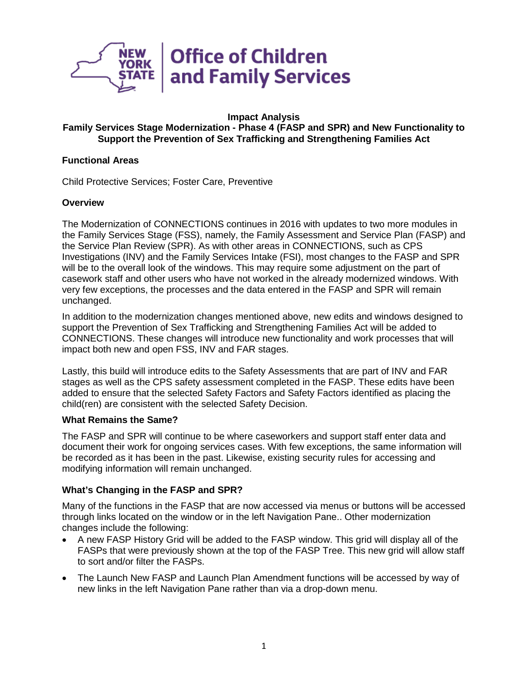

#### **Impact Analysis**

# **Family Services Stage Modernization - Phase 4 (FASP and SPR) and New Functionality to Support the Prevention of Sex Trafficking and Strengthening Families Act**

#### **Functional Areas**

Child Protective Services; Foster Care, Preventive

## **Overview**

The Modernization of CONNECTIONS continues in 2016 with updates to two more modules in the Family Services Stage (FSS), namely, the Family Assessment and Service Plan (FASP) and the Service Plan Review (SPR). As with other areas in CONNECTIONS, such as CPS Investigations (INV) and the Family Services Intake (FSI), most changes to the FASP and SPR will be to the overall look of the windows. This may require some adjustment on the part of casework staff and other users who have not worked in the already modernized windows. With very few exceptions, the processes and the data entered in the FASP and SPR will remain unchanged.

In addition to the modernization changes mentioned above, new edits and windows designed to support the Prevention of Sex Trafficking and Strengthening Families Act will be added to CONNECTIONS. These changes will introduce new functionality and work processes that will impact both new and open FSS, INV and FAR stages.

Lastly, this build will introduce edits to the Safety Assessments that are part of INV and FAR stages as well as the CPS safety assessment completed in the FASP. These edits have been added to ensure that the selected Safety Factors and Safety Factors identified as placing the child(ren) are consistent with the selected Safety Decision.

#### **What Remains the Same?**

The FASP and SPR will continue to be where caseworkers and support staff enter data and document their work for ongoing services cases. With few exceptions, the same information will be recorded as it has been in the past. Likewise, existing security rules for accessing and modifying information will remain unchanged.

## **What's Changing in the FASP and SPR?**

Many of the functions in the FASP that are now accessed via menus or buttons will be accessed through links located on the window or in the left Navigation Pane.. Other modernization changes include the following:

- A new FASP History Grid will be added to the FASP window. This grid will display all of the FASPs that were previously shown at the top of the FASP Tree. This new grid will allow staff to sort and/or filter the FASPs.
- The Launch New FASP and Launch Plan Amendment functions will be accessed by way of new links in the left Navigation Pane rather than via a drop-down menu.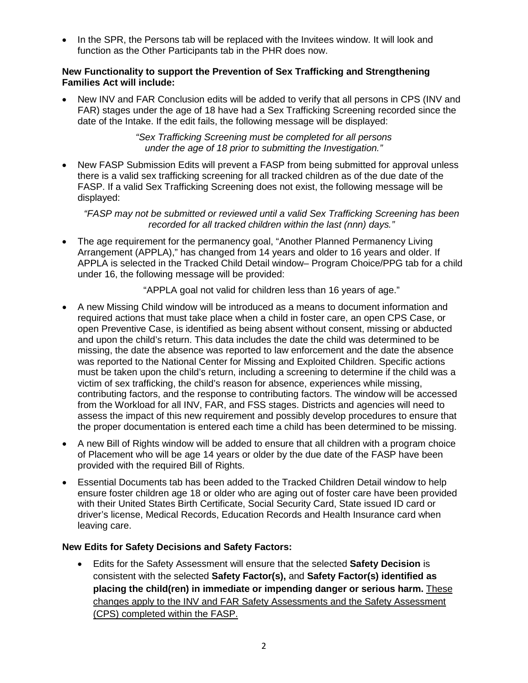• In the SPR, the Persons tab will be replaced with the Invitees window. It will look and function as the Other Participants tab in the PHR does now.

### **New Functionality to support the Prevention of Sex Trafficking and Strengthening Families Act will include:**

• New INV and FAR Conclusion edits will be added to verify that all persons in CPS (INV and FAR) stages under the age of 18 have had a Sex Trafficking Screening recorded since the date of the Intake. If the edit fails, the following message will be displayed:

> *"Sex Trafficking Screening must be completed for all persons under the age of 18 prior to submitting the Investigation."*

• New FASP Submission Edits will prevent a FASP from being submitted for approval unless there is a valid sex trafficking screening for all tracked children as of the due date of the FASP. If a valid Sex Trafficking Screening does not exist, the following message will be displayed:

*"FASP may not be submitted or reviewed until a valid Sex Trafficking Screening has been recorded for all tracked children within the last (nnn) days."*

• The age requirement for the permanency goal, "Another Planned Permanency Living Arrangement (APPLA)," has changed from 14 years and older to 16 years and older. If APPLA is selected in the Tracked Child Detail window– Program Choice/PPG tab for a child under 16, the following message will be provided:

"APPLA goal not valid for children less than 16 years of age."

- A new Missing Child window will be introduced as a means to document information and required actions that must take place when a child in foster care, an open CPS Case, or open Preventive Case, is identified as being absent without consent, missing or abducted and upon the child's return. This data includes the date the child was determined to be missing, the date the absence was reported to law enforcement and the date the absence was reported to the National Center for Missing and Exploited Children. Specific actions must be taken upon the child's return, including a screening to determine if the child was a victim of sex trafficking, the child's reason for absence, experiences while missing, contributing factors, and the response to contributing factors. The window will be accessed from the Workload for all INV, FAR, and FSS stages. Districts and agencies will need to assess the impact of this new requirement and possibly develop procedures to ensure that the proper documentation is entered each time a child has been determined to be missing.
- A new Bill of Rights window will be added to ensure that all children with a program choice of Placement who will be age 14 years or older by the due date of the FASP have been provided with the required Bill of Rights.
- Essential Documents tab has been added to the Tracked Children Detail window to help ensure foster children age 18 or older who are aging out of foster care have been provided with their United States Birth Certificate, Social Security Card, State issued ID card or driver's license, Medical Records, Education Records and Health Insurance card when leaving care.

# **New Edits for Safety Decisions and Safety Factors:**

• Edits for the Safety Assessment will ensure that the selected **Safety Decision** is consistent with the selected **Safety Factor(s),** and **Safety Factor(s) identified as placing the child(ren) in immediate or impending danger or serious harm.** These changes apply to the INV and FAR Safety Assessments and the Safety Assessment (CPS) completed within the FASP.